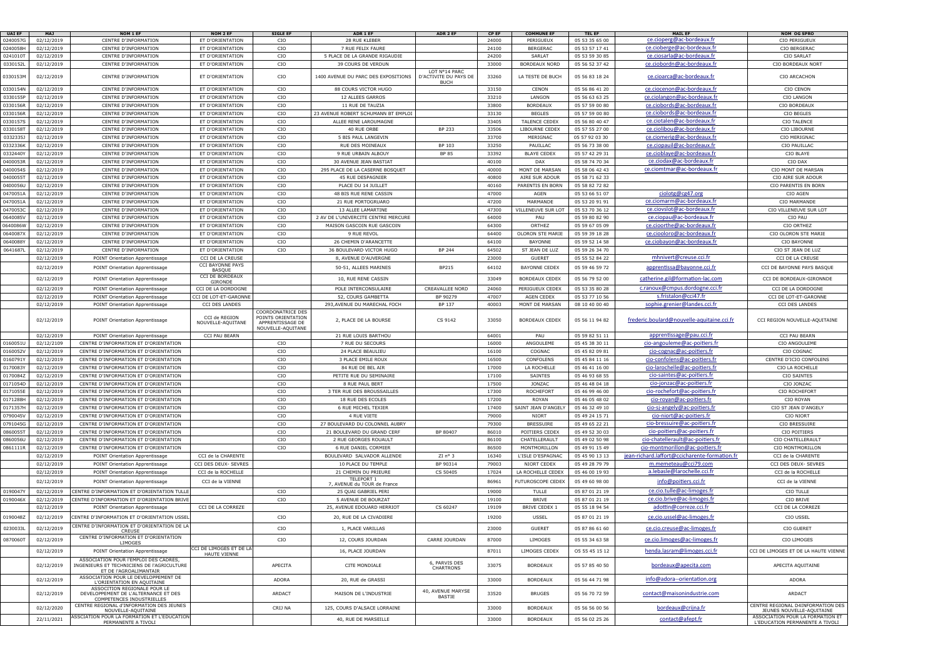| <b>UAI EF</b> | MAJ        | <b>NOM 1 EF</b>                                                                                               | NOM 2 EF                                | <b>SIGLE E</b>                                                                   | ADR 1 EF                                  | ADR 2 EF                             | CP EF | <b>COMMUNE EF</b>     | TEL EF         | <b>MAIL EF</b>                                | <b>NOM OG SPRO</b>                                                  |
|---------------|------------|---------------------------------------------------------------------------------------------------------------|-----------------------------------------|----------------------------------------------------------------------------------|-------------------------------------------|--------------------------------------|-------|-----------------------|----------------|-----------------------------------------------|---------------------------------------------------------------------|
| 0240057G      | 02/12/2019 | <b>CENTRE D'INFORMATION</b>                                                                                   | ET D'ORIENTATION                        | CIO                                                                              | 28 RUE KLEBER                             |                                      | 24000 | PERIGUEUX             | 05 53 35 65 00 | ce.cioperg@ac-bordeaux.fr                     | CIO PERIGUEUX                                                       |
| 0240058H      | 02/12/2019 | CENTRE D'INFORMATION                                                                                          | ET D'ORIENTATION                        | CIO                                                                              | 7 RUE FELIX FAURE                         |                                      | 24100 | <b>BERGERAC</b>       | 05 53 57 17 41 | ce.cioberge@ac-bordeaux.fr                    | CIO BERGERAC                                                        |
| 0241010T      | 02/12/2019 | CENTRE D'INFORMATION                                                                                          | ET D'ORIENTATION                        | CIO                                                                              | 5 PLACE DE LA GRANDE RIGAUDIE             |                                      | 24200 | SARLAT                | 05 53 59 30 85 | ce.ciosarla@ac-bordeaux.fr                    | CIO SARLAT                                                          |
| 0330152L      |            | CENTRE D'INFORMATION                                                                                          |                                         | CIO                                                                              |                                           |                                      | 33000 | <b>BORDEAUX NORD</b>  |                |                                               |                                                                     |
|               | 02/12/2019 |                                                                                                               | ET D'ORIENTATION                        |                                                                                  | 39 COURS DE VERDUN                        | LOT Nº14 PARC                        |       |                       | 05 56 52 37 42 | ce.ciobordn@ac-bordeaux.fr                    | CIO BORDEAUX NORT                                                   |
| 0330153M      | 02/12/2019 | CENTRE D'INFORMATION                                                                                          | ET D'ORIENTATION                        | CIO                                                                              | 1400 AVENUE DU PARC DES EXPOSITIONS       | D'ACTIVITE DU PAYS DE<br><b>BUCH</b> | 33260 | LA TESTE DE BUCH      | 05 56 83 18 24 | <u>ce.cioarca@ac-bordeaux.fr</u>              | CIO ARCACHON                                                        |
| 0330154N      | 02/12/2019 | CENTRE D'INFORMATION                                                                                          | ET D'ORIENTATION                        | CIO                                                                              | 88 COURS VICTOR HUGO                      |                                      | 33150 | CENON                 | 05 56 86 41 20 | ce.ciocenon@ac-bordeaux.fr                    | CIO CENON                                                           |
| 0330155P      | 02/12/2019 | CENTRE D'INFORMATION                                                                                          | ET D'ORIENTATION                        | CIO                                                                              | 12 ALLEES GARROS                          |                                      | 33210 | LANGON                | 05 56 63 63 25 | ce.ciolangon@ac-bordeaux.fr                   | CIO LANGON                                                          |
| 0330156R      | 02/12/2019 | CENTRE D'INFORMATION                                                                                          | ET D'ORIENTATION                        | CIO                                                                              | 11 RUE DE TAUZIA                          |                                      | 33800 | <b>BORDEAUX</b>       | 05 57 59 00 80 | ce.ciobords@ac-bordeaux.fr                    | CIO BORDEAUX                                                        |
|               |            |                                                                                                               |                                         |                                                                                  |                                           |                                      |       |                       |                |                                               |                                                                     |
| 0330156R      | 02/12/2019 | CENTRE D'INFORMATION                                                                                          | ET D'ORIENTATION                        | CIO                                                                              | 23 AVENUE ROBERT SCHUMANN BT EMPLOI       |                                      | 33130 | <b>BEGLES</b>         | 05 57 59 00 80 | ce.ciobords@ac-bordeaux.fr                    | CIO BEGLES                                                          |
| 03301575      | 02/12/2019 | CENTRE D'INFORMATION                                                                                          | ET D'ORIENTATION                        | CIO                                                                              | ALLEE RENE LAROUMAGNE                     |                                      | 33405 | TALENCE CEDEX         | 05 56 80 40 47 | ce.ciotalen@ac-bordeaux.fr                    | <b>CIO TALENCE</b>                                                  |
| 0330158T      | 02/12/2019 | CENTRE D'INFORMATION                                                                                          | ET D'ORIENTATION                        | CIO                                                                              | 40 RUE ORBE                               | BP 233                               | 33506 | LIBOURNE CEDEX        | 05 57 55 27 00 | ce.ciolibou@ac-bordeaux.fr                    | CIO LIBOURNE                                                        |
| 0332335J      | 02/12/2019 | CENTRE D'INFORMATION                                                                                          | ET D'ORIENTATION                        | CIO                                                                              | 5 BIS PAUL LANGEVIN                       |                                      | 33700 | MERIGNAC              | 05 57 92 03 30 | ce.ciomerig@ac-bordeaux.fr                    | CIO MERIGNAC                                                        |
| 0332336K      | 02/12/2019 | CENTRE D'INFORMATION                                                                                          | ET D'ORIENTATION                        | CIO                                                                              | RUE DES MOINEAUX                          | BP 103                               | 33250 | PAUILLAC              | 05 56 73 38 00 | ce.ciopauil@ac-bordeaux.fr                    | CIO PAUILLAC                                                        |
| 0332440Y      | 02/12/2019 | CENTRE D'INFORMATION                                                                                          | ET D'ORIENTATION                        | CIO                                                                              | 9 RUE URBAIN ALBOUY                       | BP 85                                | 33392 | <b>BLAYE CEDEX</b>    | 05 57 42 29 31 | ce.cioblaye@ac-bordeaux.fr                    | CIO BLAYE                                                           |
|               |            |                                                                                                               |                                         |                                                                                  |                                           |                                      |       |                       |                |                                               |                                                                     |
| 0400053R      | 02/12/2019 | CENTRE D'INFORMATION                                                                                          | ET D'ORIENTATION                        | CIO                                                                              | 30 AVENUE JEAN BASTIAT                    |                                      | 40100 | DAX                   | 05 58 74 70 34 | ce.ciodax@ac-bordeaux.fr                      | CIO DAX                                                             |
| 0400054S      | 02/12/2019 | CENTRE D'INFORMATION                                                                                          | ET D'ORIENTATION                        | CIO                                                                              | 295 PLACE DE LA CASERNE BOSQUET           |                                      | 40000 | MONT DE MARSAN        | 05 58 06 42 43 | ce.ciomtmar@ac-bordeaux.fr                    | CIO MONT DE MARSAN                                                  |
| 0400055T      | 02/12/2019 | CENTRE D'INFORMATION                                                                                          | ET D'ORIENTATION                        | CIO                                                                              | 45 RUE DESPAGNIER                         |                                      | 40800 | AIRE SUR ADOUR        | 05 58 71 62 33 |                                               | CIO AIRE SUR ADOUR                                                  |
| 0400056U      | 02/12/2019 | CENTRE D'INFORMATION                                                                                          | ET D'ORIENTATION                        | CIO                                                                              | PLACE DU 14 JUILLET                       |                                      | 40160 | PARENTIS EN BORN      | 05 58 82 72 82 |                                               | CIO PARENTIS EN BORN                                                |
| 0470051A      | 02/12/2019 | CENTRE D'INFORMATION                                                                                          | ET D'ORIENTATION                        | CIO                                                                              | 48 BIS RUE RENE CASSIN                    |                                      | 47000 | AGEN                  | 05 53 66 51 07 | ciolotg@cg47.org                              | CIO AGEN                                                            |
| 0470051A      | 02/12/2019 | CENTRE D'INFORMATION                                                                                          | ET D'ORIENTATION                        | CIO                                                                              | 21 RUE PORTOGRUARO                        |                                      | 47200 | MARMANDE              | 05 53 20 91 91 | ce.ciomarm@ac-bordeaux.fr                     | CIO MARMANDE                                                        |
| 0470053C      | 02/12/2019 | CENTRE D'INFORMATION                                                                                          | ET D'ORIENTATION                        | CIO                                                                              | 13 ALLEE LAMARTINE                        |                                      | 47300 | VILLENEUVE SUR LOT    | 05 53 70 36 12 |                                               | CIO VILLENEUVE SUR LOT                                              |
|               |            |                                                                                                               |                                         |                                                                                  |                                           |                                      |       |                       |                | ce.ciovslot@ac-bordeaux.fr                    |                                                                     |
| 0640085V      | 02/12/2019 | CENTRE D'INFORMATION                                                                                          | ET D'ORIENTATION                        | CIO                                                                              | 2 AV DE L'UNIVERCITE CENTRE MERCURE       |                                      | 64000 | PAU                   | 05 59 80 82 90 | ce.ciopau@ac-bordeaux.fr                      | CIO PAU                                                             |
| 0640086W      | 02/12/2019 | CENTRE D'INFORMATION                                                                                          | ET D'ORIENTATION                        | CIO                                                                              | MAISON GASCOIN RUE GASCOIN                |                                      | 64300 | ORTHEZ                | 05 59 67 05 09 | ce.cioorthe@ac-bordeaux.fr                    | CIO ORTHEZ                                                          |
| 0640087X      | 02/12/2019 | CENTRE D'INFORMATION                                                                                          | ET D'ORIENTATION                        | CIO                                                                              | 9 RUE REVOL                               |                                      | 64400 | OLORON STE MARIE      | 05 59 39 18 28 | ce.ciooloro@ac-bordeaux.fr                    | CIO OLORON STE MARIE                                                |
| 06400881      | 02/12/2019 | CENTRE D'INFORMATION                                                                                          | ET D'ORIENTATION                        | CIO                                                                              | 26 CHEMIN D'ARANCETTE                     |                                      | 64100 | BAYONNE               | 05 59 52 14 58 | ce.ciobayon@ac-bordeaux.fr                    | CIO BAYONNE                                                         |
| 0641687L      | 02/12/2019 | CENTRE D'INFORMATION                                                                                          | ET D'ORIENTATION                        | CIO                                                                              | 36 BOULEVARD VICTOR HUGO                  | BP 244                               | 64502 | ST JEAN DE LUZ        | 05 59 26 34 70 |                                               | CIO ST JEAN DE LUZ                                                  |
|               | 02/12/2019 |                                                                                                               | CCI DE LA CREUSE                        |                                                                                  | 8, AVENUE D'AUVERGNE                      |                                      | 23000 | <b>GUERET</b>         | 05 55 52 84 22 |                                               | CCI DE LA CREUSE                                                    |
|               |            | POINT Orientation Apprentissage                                                                               | <b>CCI BAYONNE PAYS</b>                 |                                                                                  |                                           |                                      |       |                       |                | mhnivert@creuse.cci.fr                        |                                                                     |
|               | 02/12/2019 | POINT Orientation Apprentissage                                                                               | BASQUE                                  |                                                                                  | 50-51, ALLEES MARINES                     | <b>BP215</b>                         | 64102 | <b>BAYONNE CEDEX</b>  | 05 59 46 59 72 | apprentissa@bayonne.cci.fr                    | CCI DE BAYONNE PAYS BASQUE                                          |
|               | 02/12/2019 | POINT Orientation Apprentissage                                                                               | CCI DE BORDEAUX                         |                                                                                  | 10, RUE RENE CASSIN                       |                                      | 33049 | BORDEAUX CEDEX        | 05 56 79 52 00 | catherine.gil@formation-lac.com               | CCI DE BORDEAUX-GIRONNDE                                            |
|               |            |                                                                                                               | GIRONDE                                 |                                                                                  |                                           | CREAVALLEE NORD                      | 24060 |                       | 05 53 35 80 28 |                                               |                                                                     |
|               | 02/12/2019 | POINT Orientation Apprentissage                                                                               | CCI DE LA DORDOGNE                      |                                                                                  | POLE INTERCONSULAIRE                      |                                      |       | PERIGUEUX CEDEX       |                | c.ranoux@cmpus.dordogne.cci.fr                | CCI DE LA DORDOGNE                                                  |
|               | 02/12/2019 | POINT Orientation Apprentissage                                                                               | CCI DE LOT-ET-GARONNE                   |                                                                                  | 52, COURS GAMBETTA                        | BP 90279                             | 47007 | <b>AGEN CEDEX</b>     | 05 53 77 10 56 | s.fristalon@cci47.fr                          | CCI DE LOT-ET-GARONNE                                               |
|               | 02/12/2019 | POINT Orientation Apprentissage                                                                               | CCI DES LANDES                          |                                                                                  | 293, AVENUE DU MARECHAL FOCH              | BP 137                               | 40003 | MONT DE MARSAN        | 08 10 40 00 40 | sophie.grenier@landes.cci.fr                  | CCI DES LANDES                                                      |
|               | 02/12/2019 | POINT Orientation Apprentissage                                                                               | CCI de REGION<br>NOUVELLE-AQUITANE      | COORDONATRICE DES<br>POINTS ORIENTATION<br>APPRENTISSAGE DE<br>NOUVELLE-AQUITANE | 2, PLACE DE LA BOURSE                     | CS 9142                              | 33050 | <b>BORDEAUX CEDEX</b> | 05 56 11 94 82 | frederic.boulard@nouvelle-aquitaine.cci.fr    | CCI REGION NOUVELLE-AQUITAINE                                       |
|               | 02/12/2019 | POINT Orientation Apprentissage                                                                               | CCI PAU BEARN                           |                                                                                  | 21 RUE LOUIS BARTHOU                      |                                      | 64001 | PAU                   | 05 59 82 51 11 | apprentissage@pau.cci.fr                      | CCI PAU BEARN                                                       |
| 0160051U      | 02/12/2109 | CENTRE D'INFORMATION ET D'ORIENTATION                                                                         |                                         | CIO                                                                              | 7 RUE DU SECOURS                          |                                      | 16000 | ANGOULEME             | 05 45 38 30 11 | cio-angouleme@ac-poitiers.fr                  | CIO ANGOULEME                                                       |
|               |            | CENTRE D'INFORMATION ET D'ORIENTATION                                                                         |                                         |                                                                                  |                                           |                                      |       |                       |                |                                               |                                                                     |
| 0160052V      | 02/12/2019 |                                                                                                               |                                         | CIO                                                                              | 24 PLACE BEAULIEU                         |                                      | 16100 | COGNAC                | 05 45 82 09 81 | cio-cognac@ac-poitiers.fr                     | CIO COGNAC                                                          |
| 0160791Y      | 02/12/2019 | CENTRE D'INFORMATION ET D'ORIENTATION                                                                         |                                         | CIO                                                                              | 3 PLACE EMILE ROUX                        |                                      | 16500 | CONFOLENS             | 05 45 84 11 16 | cio-confolens@ac-poitiers.fr                  | CENTRE D'ICIO CONFOLENS                                             |
| 0170083Y      | 02/12/2019 | CENTRE D'INFORMATION ET D'ORIENTATION                                                                         |                                         | CIO                                                                              | 84 RUE DE BEL AIR                         |                                      | 17000 | LA ROCHELLE           | 05 46 41 16 00 | cio-larochelle@ac-poitiers.fr                 | CIO LA ROCHELLE                                                     |
| 0170084Z      | 02/12/2019 | CENTRE D'INFORMATION ET D'ORIENTATION                                                                         |                                         | CIO                                                                              | PETITE RUE DU SEMINAIRE                   |                                      | 17100 | SAINTES               | 05 46 93 68 55 | cio-saintes@ac-poitiers.fr                    | CIO SAINTES                                                         |
| 0171054D      | 02/12/2019 | CENTRE D'INFORMATION ET D'ORIENTATION                                                                         |                                         | CIO                                                                              | 8 RUE PAUL BERT                           |                                      | 17500 | <b>JONZAC</b>         | 05 46 48 04 18 | cio-jonzac@ac-poitiers.fr                     | CIO JONZAC                                                          |
| 0171055E      | 02/12/2019 | CENTRE D'INFORMATION ET D'ORIENTATION                                                                         |                                         | CIO                                                                              | 3 TER RUE DES BROUSSAILLES                |                                      | 17300 | ROCHEFORT             | 05 46 99 46 00 | cio-rochefort@ac-poitiers.fr                  | CIO ROCHEFORT                                                       |
| 0171288H      | 02/12/2019 | CENTRE D'INFORMATION ET D'ORIENTATION                                                                         |                                         | CIO                                                                              | 18 RUE DES ECOLES                         |                                      | 17200 | ROYAN                 | 05 46 05 48 02 | cio-royan@ac-poitiers.fr                      | CIO ROYAN                                                           |
|               |            |                                                                                                               |                                         |                                                                                  |                                           |                                      |       |                       |                |                                               |                                                                     |
| 0171357H      | 02/12/2019 | CENTRE D'INFORMATION ET D'ORIENTATION                                                                         |                                         | CIO                                                                              | 6 RUE MICHEL TEXIER                       |                                      | 17400 | SAINT JEAN D'ANGELY   | 05 46 32 49 10 | cio-sj-angely@ac-poitiers.fr                  | CIO ST JEAN D'ANGELY                                                |
| 0790045V      | 02/12/2019 | CENTRE D'INFORMATION ET D'ORIENTATION                                                                         |                                         | CIO                                                                              | 4 RUE VIETE                               |                                      | 79000 | NIORT                 | 05 49 24 15 71 | cio-niort@ac-poitiers.fr                      | CIO NIORT                                                           |
| 0791045G      | 02/12/2019 | CENTRE D'INFORMATION ET D'ORIENTATION                                                                         |                                         | CIO                                                                              | 27 BOULEVARD DU COLONNEL AUBRY            |                                      | 79300 | <b>BRESSUIRE</b>      | 05 49 65 22 21 | cio-bressuire@ac-poitiers.fr                  | CIO BRESSUIRE                                                       |
| 0860055T      | 02/12/2019 | CENTRE D'INFORMATION ET D'ORIENTATION                                                                         |                                         | CIO                                                                              | 21 BOULEVARD DU GRAND CERF                | BP 80407                             | 86010 | POITIERS CEDEX        | 05 49 52 30 03 | cio-poitiers@ac-poitiers.fr                   | CIO POITIERS                                                        |
| 0860056U      | 02/12/2019 | CENTRE D'INFORMATION ET D'ORIENTATION                                                                         |                                         | CIO                                                                              | 2 RUE GEORGES ROUAULT                     |                                      | 86100 | CHATELLERAULT         | 05 49 02 50 98 | cio-chatellerault@ac-poitiers.fr              | CIO CHATELLERAULT                                                   |
| 0861111R      | 02/12/2019 | CENTRE D'INFORMATION ET D'ORIENTATION                                                                         |                                         | CIO                                                                              | 6 RUE DANIEL CORMIER                      |                                      | 86500 | MONTMORILLON          | 05 49 91 15 49 | cio-montmorillon@ac-poitiers.fr               | CIO MONTMORILLON                                                    |
|               | 02/12/2019 | POINT Orientation Apprentissage                                                                               | CCI de la CHARENTE                      |                                                                                  | BOULEVARD SALVADOR ALLENDE                | $ZI$ n° 3                            | 16340 | L'ISLE D'ESPAGNAC     | 05 45 90 13 13 | jean-richard.laffort@ccicharente-formation.fr | CCI de la CHARENTE                                                  |
|               | 02/12/2019 | POINT Orientation Apprentissage                                                                               | CCI DES DEUX- SEVRES                    |                                                                                  | 10 PLACE DU TEMPLE                        | BP 90314                             | 79003 | NIORT CEDEX           | 05 49 28 79 79 | m.memeteau@cci79.com                          | CCI DES DEUX- SEVRES                                                |
|               |            |                                                                                                               |                                         |                                                                                  |                                           |                                      |       |                       |                |                                               |                                                                     |
|               | 02/12/2019 | POINT Orientation Apprentissage                                                                               | CCI de la ROCHELLE                      |                                                                                  | 21 CHEMIN DU PRIEURE                      | CS 50405                             | 17024 | LA ROCHELLE CEDEX     | 05 46 00 19 93 | a.lebasle@larochelle.cci.fr                   | CCI de la ROCHELLE                                                  |
|               | 02/12/2019 | POINT Orientation Apprentissage                                                                               | CCI de la VIENNE                        |                                                                                  | TELEPORT 1<br>7, AVENUE du TOUR de France |                                      | 86961 | FUTUROSCOPE CEDEX     | 05 49 60 98 00 | info@poitiers.cci.fr                          | CCI de la VIENNE                                                    |
| 0190047Y      | 02/12/2019 | CENTRE D'INFORMATION ET D'ORIENTATION TULLE                                                                   |                                         | CIO                                                                              | 25 QUAI GABRIEL PERI                      |                                      | 19000 | TULLE                 | 05 87 01 21 19 | ce.cio.tulle@ac-limoges.fr                    | CIO TULLE                                                           |
| 0190046X      |            |                                                                                                               |                                         | CIO                                                                              | 5 AVENUE DE BOURZAT                       |                                      | 19100 |                       |                | ce.cio.brive@ac-limoges.fr                    |                                                                     |
|               | 02/12/2019 | CENTRE D'INFORMATION ET D'ORIENTATION BRIVE                                                                   |                                         |                                                                                  |                                           |                                      |       | <b>BRIVE</b>          | 05 87 01 21 19 |                                               | CIO BRIVE                                                           |
|               | 02/12/2019 | POINT Orientation Apprentissage                                                                               | CCI DE LA CORREZE                       |                                                                                  | 25. AVENUE EDOUARD HERRIOT                | CS 60247                             | 19109 | <b>BRIVE CEDEX 1</b>  | 05 55 18 94 54 | adottin@correze.cci.fr                        | CCI DE LA CORREZE                                                   |
| 0190048Z      | 02/12/2019 | CENTRE D'INFORMATION ET D'ORIENTATION USSEL                                                                   |                                         | CIO                                                                              | 20, RUE DE LA CIVADIERE                   |                                      | 19200 | USSEL                 | 05 87 01 21 19 | ce.cio.ussel@ac-limoges.fr                    | CIO USSEL                                                           |
| 0230033L      | 02/12/2019 | CENTRE D'INFORMATION ET D'ORIENTATION DE LA                                                                   |                                         | CIO                                                                              | 1, PLACE VARILLAS                         |                                      | 23000 | <b>GUERET</b>         | 05 87 86 61 60 | ce.cio.creuse@ac-limoges.fr                   | CIO GUERET                                                          |
|               |            | CREUSE<br>CENTRE D'INFORMATION ET D'ORIENTATION                                                               |                                         |                                                                                  |                                           |                                      |       |                       |                |                                               |                                                                     |
| 0870060T      | 02/12/2019 | LIMOGES                                                                                                       |                                         | CIO                                                                              | 12, COURS JOURDAN                         | CARRE JOURDAN                        | 87000 | LIMOGES               | 05 55 34 63 58 | ce.cio.limoges@ac-limoges.fr                  | CIO LIMOGES                                                         |
|               | 02/12/2019 | POINT Orientation Apprentissage                                                                               | CCI DE LIMOGES ET DE LA<br>HAUTE VIENNE |                                                                                  | 16, PLACE JOURDAN                         |                                      | 87011 | LIMOGES CEDEX         | 05 55 45 15 12 | henda.lasram@limoges.cci.fr                   | CCI DE LIMOGES ET DE LA HAUTE VIENNE                                |
|               | 02/12/2019 | ASSOCIATION POUR l'EMPLOI DES CADRES,<br>INGENIEURS ET TECHNICIENS DE l'AGRICULTURE<br>ET DE l'AGROALIMANTAIR |                                         | APECITA                                                                          | CITE MONDIALE                             | 6, PARVIS DES<br>CHARTRONS           | 33075 | <b>BORDEAUX</b>       | 05 57 85 40 50 | bordeaux@apecita.com                          | APECITA AQUITAINE                                                   |
|               | 02/12/2019 | ASSOCIATION POUR LE DEVELOPPEMENT DE                                                                          |                                         | ADORA                                                                            | 20, RUE de GRASSI                         |                                      | 33000 | <b>BORDEAUX</b>       | 05 56 44 71 98 | info@adora--orientation.org                   | ADORA                                                               |
|               |            | L'ORIENTATION EN AQUITAINE<br>ASSOCITION REGIONALE POUR LE                                                    |                                         |                                                                                  |                                           |                                      |       |                       |                |                                               |                                                                     |
|               | 02/12/2019 | DEVELOPPEMENT DE L'ALTERNANCE ET DES<br>COMPETENCES INDUSTRIELLES                                             |                                         | ARDACT                                                                           | MAISON DE L'INDUSTRIE                     | 40, AVENUE MARYSE<br>BASTIE          | 33520 | <b>BRUGES</b>         | 05 56 70 72 59 | contact@maisonindustrie.com                   | ARDACT                                                              |
|               | 02/12/2020 | CENTRE REGIONAL d'INFORMATION DES JEUNES<br>NOUVELLE-AQUITAINE                                                |                                         | CRIJ NA                                                                          | 125, COURS D'ALSACE LORRAINE              |                                      | 33000 | <b>BORDEAUX</b>       | 05 56 56 00 56 | bordeaux@crijna.fr                            | CENTRE REGIONAL D4INFORMATION DES<br>JEUNES NOUVELLE-AQUITAINE      |
|               | 22/11/2021 | ASSCIATION POUR LA FORMATION ET L'EDUCATION<br>PERMANENTE A TIVOLI                                            |                                         |                                                                                  | 40, RUE DE MARSEILLE                      |                                      | 33000 | <b>BORDEAUX</b>       | 05 56 02 25 26 | contact@afept.fr                              | ASSOCIATION POUR LA FORMATION ET<br>L'EDUCATION PERMANENTE A TIVOLI |